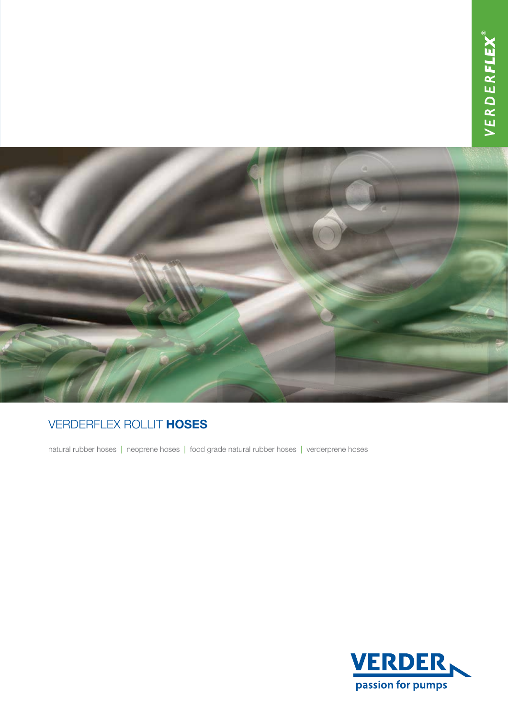

## Verderflex Rollit hoses

natural rubber hoses | neoprene hoses | food grade natural rubber hoses | verderprene hoses

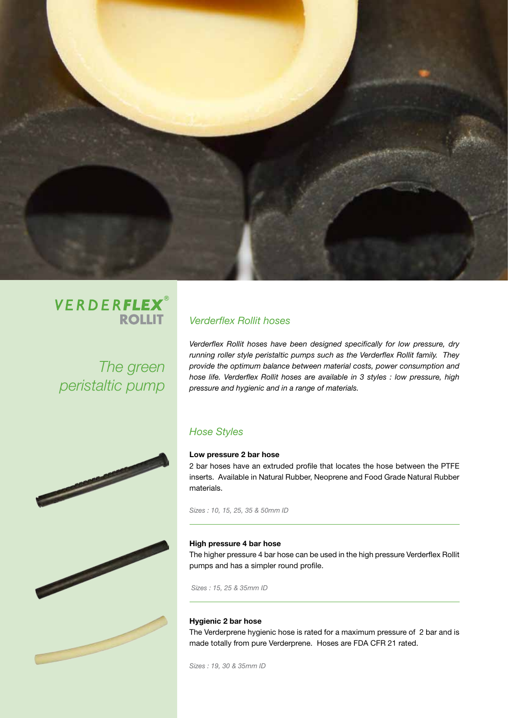

# VERDERFLEX® **ROLLIT**

*The green peristaltic pump*

**Contract Contract Contract Contract Contract Contract Contract Contract Contract Contract Contract Contract Contract Contract Contract Contract Contract Contract Contract Contract Contract Contract Contract Contract Contr** 

## *Verderflex Rollit hoses*

*Verderflex Rollit hoses have been designed specifically for low pressure, dry running roller style peristaltic pumps such as the Verderflex Rollit family. They provide the optimum balance between material costs, power consumption and hose life. Verderflex Rollit hoses are available in 3 styles : low pressure, high pressure and hygienic and in a range of materials.*

### *Hose Styles*

### Low pressure 2 bar hose

2 bar hoses have an extruded profile that locates the hose between the PTFE inserts. Available in Natural Rubber, Neoprene and Food Grade Natural Rubber materials.

*Sizes : 10, 15, 25, 35 & 50mm ID*

#### High pressure 4 bar hose

The higher pressure 4 bar hose can be used in the high pressure Verderflex Rollit pumps and has a simpler round profile.

 *Sizes : 15, 25 & 35mm ID*

### Hygienic 2 bar hose

The Verderprene hygienic hose is rated for a maximum pressure of 2 bar and is made totally from pure Verderprene. Hoses are FDA CFR 21 rated.

*Sizes : 19, 30 & 35mm ID*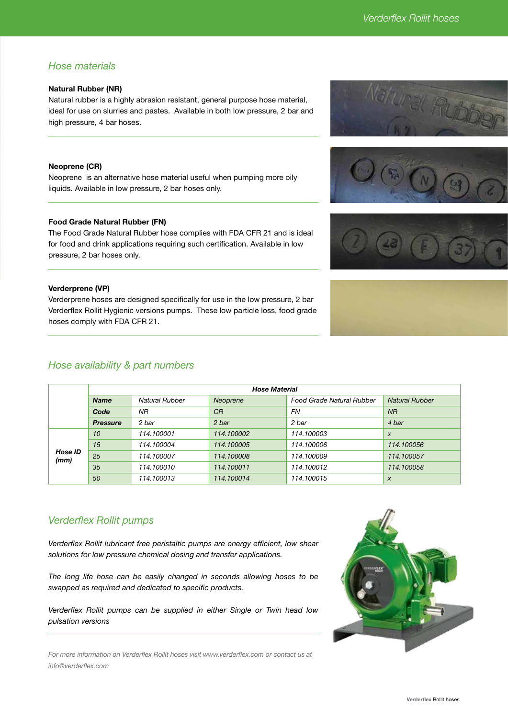### *Hose materials*

### Natural Rubber (NR)

Natural rubber is a highly abrasion resistant, general purpose hose material, ideal for use on slurries and pastes. Available in both low pressure, 2 bar and high pressure, 4 bar hoses.

#### Neoprene (CR)

Neoprene is an alternative hose material useful when pumping more oily liquids. Available in low pressure, 2 bar hoses only.

### Food Grade Natural Rubber (FN)

The Food Grade Natural Rubber hose complies with FDA CFR 21 and is ideal for food and drink applications requiring such certification. Available in low pressure, 2 bar hoses only.

#### Verderprene (VP)

Verderprene hoses are designed specifically for use in the low pressure, 2 bar Verderflex Rollit Hygienic versions pumps. These low particle loss, food grade hoses comply with FDA CFR 21.

### *Hose availability & part numbers*

| Hose ID<br>(mm) | 15 | 114.100004 | 114.100005 | 114.100006 | 114.100056       |
|-----------------|----|------------|------------|------------|------------------|
|                 | 25 | 114.100007 | 114.100008 | 114.100009 | 114.100057       |
|                 | 35 | 114.100010 | 114.100011 | 114.100012 | 114.100058       |
|                 | 50 | 114.100013 | 114.100014 | 114.100015 | $\boldsymbol{X}$ |
|                 |    |            |            |            |                  |
|                 |    |            |            |            |                  |

*Hose Material Name Natural Rubber Neoprene Food Grade Natural Rubber Natural Rubber*

*Code NR CR FN NR Pressure 2 bar 2 bar 2 bar 4 bar*

*10 114.100001 114.100002 114.100003 x*

### *Verderflex Rollit pumps*

*Verderflex Rollit lubricant free peristaltic pumps are energy efficient, low shear solutions for low pressure chemical dosing and transfer applications.* 

*The long life hose can be easily changed in seconds allowing hoses to be swapped as required and dedicated to specific products.* 

*Verderflex Rollit pumps can be supplied in either Single or Twin head low pulsation versions*

*For more information on Verderflex Rollit hoses visit www.verderflex.com or contact us at info@verderflex.com*